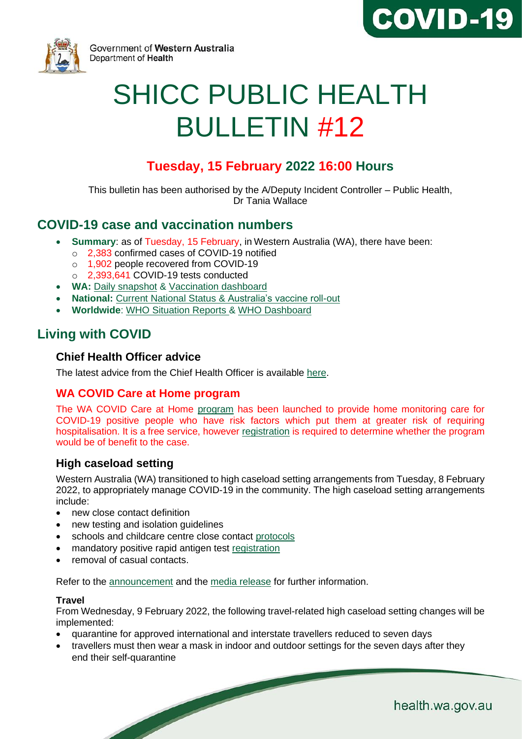



Government of Western Australia Department of Health

# SHICC PUBLIC HEALTH BULLETIN #12

# **Tuesday, 15 February 2022 16:00 Hours**

This bulletin has been authorised by the A/Deputy Incident Controller – Public Health, Dr Tania Wallace

# **COVID-19 case and vaccination numbers**

- **Summary**: as of Tuesday, 15 February, in Western Australia (WA), there have been:
	- o 2,383 confirmed cases of COVID-19 notified
	- o 1,902 people recovered from COVID-19
	- o 2,393,641 COVID-19 tests conducted
- **WA:** [Daily snapshot](https://ww2.health.wa.gov.au/Articles/A_E/Coronavirus/COVID19-statistics) & [Vaccination dashboard](https://www.wa.gov.au/organisation/covid-communications/covid-19-coronavirus-vaccination-dashboard)
- **National:** [Current National Status](https://www.health.gov.au/resources/publications/coronavirus-covid-19-at-a-glance) & [Australia's vaccine roll-out](https://www.health.gov.au/initiatives-and-programs/covid-19-vaccines/getting-vaccinated-for-covid-19#australias-vaccine-rollout.)
- **Worldwide**: [WHO Situation Reports](https://www.who.int/emergencies/diseases/novel-coronavirus-2019/situation-reports/) & [WHO Dashboard](https://covid19.who.int/?gclid=Cj0KCQjwoub3BRC6ARIsABGhnybJf9dNByiYKpY3Qg0cJoqEyKjTplKEgxKirThnHr726rZlvWG9ZVoaAo6FEALw_wcB)

# **Living with COVID**

## **Chief Health Officer advice**

The [latest advice](https://www.wa.gov.au/organisation/covid-communications/covid-19-coronavirus-chief-health-officer-advice) from the Chief Health Officer is available [here.](https://www.wa.gov.au/organisation/covid-communications/covid-19-coronavirus-chief-health-officer-advice)

# **WA COVID Care at Home program**

The WA COVID Care at Home [program](https://www.healthywa.wa.gov.au/Articles/A_E/Coronavirus/Managing-COVID19-at-home-and-in-the-community/WA-COVID-Care-at-Home) has been launched to provide home monitoring care for COVID-19 positive people who have risk factors which put them at greater risk of requiring hospitalisation. It is a free service, however [registration](https://datalibrary-rc.health.wa.gov.au/surveys/index.php?s=WDLLNTW4RDX8AWPH) is required to determine whether the program would be of benefit to the case.

# **High caseload setting**

Western Australia (WA) transitioned to high caseload setting arrangements from Tuesday, 8 February 2022, to appropriately manage COVID-19 in the community. The high caseload setting arrangements include:

- new close contact definition
- new testing and isolation quidelines
- schools and childcare centre close contact [protocols](https://www.wa.gov.au/government/announcements/high-caseload-measures-schools-and-childcare)
- mandatory positive rapid antigen test [registration](https://www.wa.gov.au/government/announcements/mandatory-registration-of-positive-rapid-antigen-tests)

removal of casual contacts.

Refer to the [announcement](https://www.wa.gov.au/government/announcements/high-covid-caseload-settings-under-was-updated-transition-plan) and the [media release](https://www.mediastatements.wa.gov.au/Pages/McGowan/2022/02/WA-begins-next-phase-of-pandemic-new-protocols-to-commence.aspx) for further information.

#### **Travel**

From Wednesday, 9 February 2022, the following travel-related high caseload setting changes will be implemented:

- quarantine for approved international and interstate travellers reduced to seven days
- travellers must then wear a mask in indoor and outdoor settings for the seven days after they end their self-quarantine

health.wa.gov.au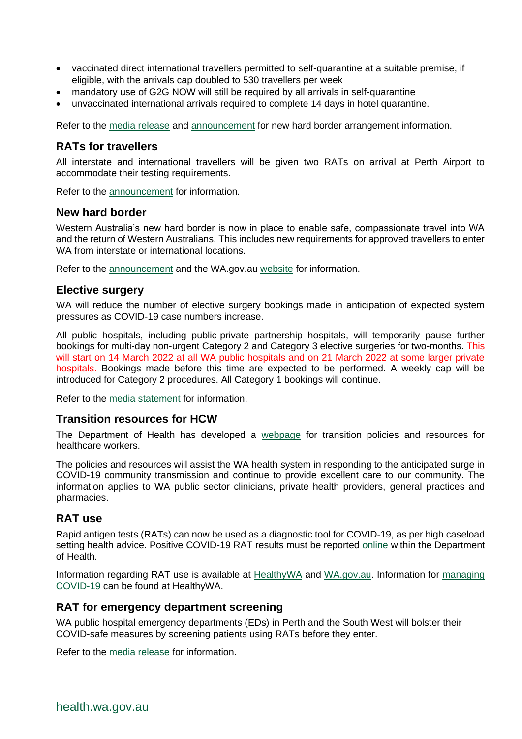- vaccinated direct international travellers permitted to self-quarantine at a suitable premise, if eligible, with the arrivals cap doubled to 530 travellers per week
- mandatory use of G2G NOW will still be required by all arrivals in self-quarantine
- unvaccinated international arrivals required to complete 14 days in hotel quarantine.

Refer to the [media release](https://www.mediastatements.wa.gov.au/Pages/McGowan/2022/02/WA-begins-next-phase-of-pandemic-new-protocols-to-commence.aspx) and [announcement](https://www.wa.gov.au/government/announcements/western-australias-new-hard-border-now-effect) for new hard border arrangement information.

## **RATs for travellers**

All interstate and international travellers will be given two RATs on arrival at Perth Airport to accommodate their testing requirements.

Refer to the [announcement](https://www.wa.gov.au/government/announcements/rapid-antigen-tests-interstate-and-international-arrivals) for information.

#### **New hard border**

Western Australia's new hard border is now in place to enable safe, compassionate travel into WA and the return of Western Australians. This includes new requirements for approved travellers to enter WA from interstate or international locations.

Refer to the [announcement](https://www.wa.gov.au/government/announcements/western-australias-new-hard-border-now-effect) and the WA.gov.au [website](https://www.wa.gov.au/government/covid-19-coronavirus/covid-19-coronavirus-travel-wa) for information.

#### **Elective surgery**

WA will reduce the number of elective surgery bookings made in anticipation of expected system pressures as COVID-19 case numbers increase.

All public hospitals, including public-private partnership hospitals, will temporarily pause further bookings for multi-day non-urgent Category 2 and Category 3 elective surgeries for two-months. This will start on 14 March 2022 at all WA public hospitals and on 21 March 2022 at some larger private hospitals. Bookings made before this time are expected to be performed. A weekly cap will be introduced for Category 2 procedures. All Category 1 bookings will continue.

Refer to the [media statement](https://www.mediastatements.wa.gov.au/Pages/McGowan/2022/02/Elective-surgery-bookings-to-continue-for-another-two-weeks.aspx) for information.

#### **Transition resources for HCW**

The Department of Health has developed a [webpage](https://ww2.health.wa.gov.au/Articles/A_E/Coronavirus/COVID19-information-for-health-professionals/Transition-policies-and-resources-for-healthcare-workers) for transition policies and resources for healthcare workers.

The policies and resources will assist the WA health system in responding to the anticipated surge in COVID-19 community transmission and continue to provide excellent care to our community. The information applies to WA public sector clinicians, private health providers, general practices and pharmacies.

## **RAT use**

Rapid antigen tests (RATs) can now be used as a diagnostic tool for COVID-19, as per high caseload setting health advice. Positive COVID-19 RAT results must be reported [online](https://datalibrary-rc.health.wa.gov.au/surveys/?s=WDLLNTW4RDX8AWPH&var=1) within the Department of Health.

Information regarding RAT use is available at [HealthyWA](https://www.healthywa.wa.gov.au/Articles/A_E/Coronavirus/COVID19-testing/Rapid-Antigen-Test) and [WA.gov.au.](https://www.wa.gov.au/government/announcements/mandatory-registration-of-positive-rapid-antigen-tests) Information for [managing](https://www.healthywa.wa.gov.au/Articles/A_E/Coronavirus/Managing-COVID19-at-home-and-in-the-community)  [COVID-19](https://www.healthywa.wa.gov.au/Articles/A_E/Coronavirus/Managing-COVID19-at-home-and-in-the-community) can be found at HealthyWA.

#### **RAT for emergency department screening**

WA public hospital emergency departments (EDs) in Perth and the South West will bolster their COVID-safe measures by screening patients using RATs before they enter.

Refer to the [media release](https://www.mediastatements.wa.gov.au/Pages/McGowan/2022/02/Rapid-Antigen-Tests-at-Perth-and-South-West-hospital-EDs-for-screening.aspx) for information.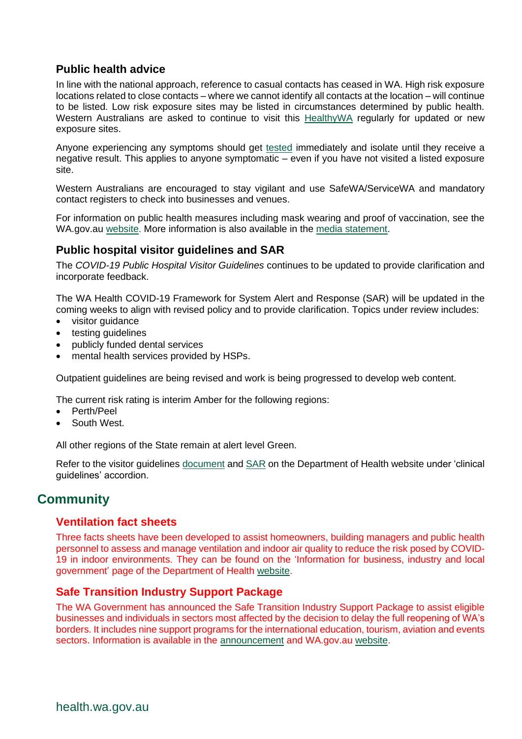# **Public health advice**

In line with the national approach, reference to casual contacts has ceased in WA. High risk exposure locations related to close contacts – where we cannot identify all contacts at the location – will continue to be listed. Low risk exposure sites may be listed in circumstances determined by public health. Western Australians are asked to continue to visit this [HealthyWA](https://www.healthywa.wa.gov.au/Articles/A_E/Coronavirus/Locations-visited-by-confirmed-cases) regularly for updated or new exposure sites.

Anyone experiencing any symptoms should get [tested](https://www.healthywa.wa.gov.au/Articles/A_E/Coronavirus/COVID-clinics) immediately and isolate until they receive a negative result. This applies to anyone symptomatic – even if you have not visited a listed exposure site.

Western Australians are encouraged to stay vigilant and use SafeWA/ServiceWA and mandatory contact registers to check into businesses and venues.

For information on public health measures including mask wearing and proof of vaccination, see the [WA.gov.au](https://www.wa.gov.au/government/announcements/mask-mandate-eased-perth-and-peel) [website.](https://www.wa.gov.au/government/covid-19-coronavirus/covid-19-coronavirus-what-you-can-and-cant-do) More information is also available in the [media statement.](https://ww2.health.wa.gov.au/Media-releases/2022/COVID-19-update-15-February-2022)

# **Public hospital visitor guidelines and SAR**

The *COVID-19 Public Hospital Visitor Guidelines* continues to be updated to provide clarification and incorporate feedback.

The WA Health COVID-19 Framework for System Alert and Response (SAR) will be updated in the coming weeks to align with revised policy and to provide clarification. Topics under review includes:

- visitor guidance
- testing guidelines
- publicly funded dental services
- mental health services provided by HSPs.

Outpatient guidelines are being revised and work is being progressed to develop web content.

The current risk rating is interim Amber for the following regions:

- Perth/Peel
- South West.

All other regions of the State remain at alert level Green.

Refer to the visitor guidelines [document](https://ww2.health.wa.gov.au/~/media/Corp/Documents/Health-for/Infectious-disease/COVID19/COVID19-Public-hospital-visitor-guidelines.pdf) and [SAR](https://ww2.health.wa.gov.au/~/media/Corp/Documents/Health-for/Infectious-disease/COVID19/WA-Health-COVID-19-Framework-for-System-Alert-and-Response.pdf) on the Department of Health website under 'clinical guidelines' accordion.

# **Community**

# **Ventilation fact sheets**

Three facts sheets have been developed to assist homeowners, building managers and public health personnel to assess and manage ventilation and indoor air quality to reduce the risk posed by COVID-19 in indoor environments. They can be found on the 'Information for business, industry and local government' page of the Department of Health [website.](https://ww2.health.wa.gov.au/Articles/A_E/Coronavirus/COVID19-information-for-business-and-industry)

# **Safe Transition Industry Support Package**

The WA Government has announced the Safe Transition Industry Support Package to assist eligible businesses and individuals in sectors most affected by the decision to delay the full reopening of WA's borders. It includes nine support programs for the international education, tourism, aviation and events sectors. Information is available in the [announcement](https://www.wa.gov.au/government/announcements/77-million-safe-transition-industry-support-package) and WA.gov.au [website.](https://www.wa.gov.au/government/covid-19-coronavirus/safe-transition-support-package)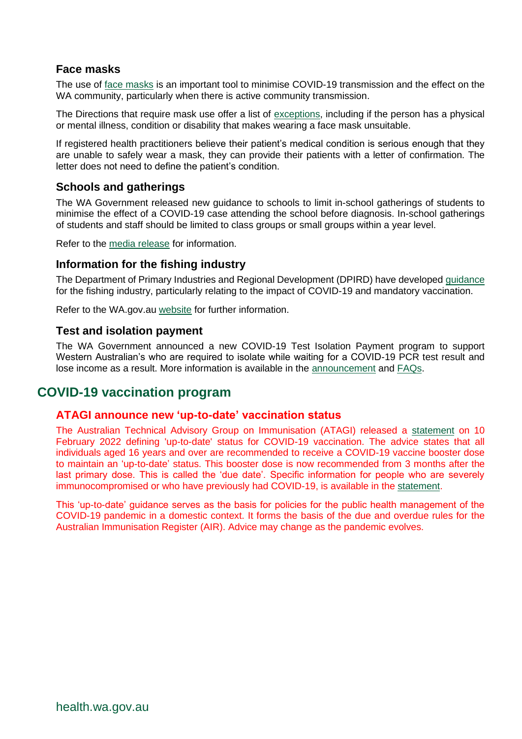# **Face masks**

The use of [face masks](https://www.wa.gov.au/government/covid-19-coronavirus/covid-19-coronavirus-what-you-can-and-cant-do#wearmasks) is an important tool to minimise COVID-19 transmission and the effect on the WA community, particularly when there is active community transmission.

The Directions that require mask use offer a list of [exceptions,](https://www.wa.gov.au/government/publications/covid-19-coronavirus-public-health-and-social-measures-perth-peel-and-the-south-west-frequently-asked-questions#exemptions-from-mask-requirements) including if the person has a physical or mental illness, condition or disability that makes wearing a face mask unsuitable.

If registered health practitioners believe their patient's medical condition is serious enough that they are unable to safely wear a mask, they can provide their patients with a letter of confirmation. The letter does not need to define the patient's condition.

## **Schools and gatherings**

The WA Government released new guidance to schools to limit in-school gatherings of students to minimise the effect of a COVID-19 case attending the school before diagnosis. In-school gatherings of students and staff should be limited to class groups or small groups within a year level.

Refer to the [media release](https://www.mediastatements.wa.gov.au/Pages/McGowan/2022/02/Updated-advice-for-schools-on-assemblies-and-large-gatherings.aspx) for information.

#### **Information for the fishing industry**

The Department of Primary Industries and Regional Development (DPIRD) have developed [guidance](https://www.wa.gov.au/system/files/2022-02/Information%20for%20the%20fishing%20industry_FINAL_7%20February%202022.pdf) for the fishing industry, particularly relating to the impact of COVID-19 and mandatory vaccination.

Refer to the WA.gov.au [website](https://www.wa.gov.au/service/primary-industries/marine-and-rural-support/covid-19-support-our-primary-industries) for further information.

#### **Test and isolation payment**

The WA Government announced a new COVID-19 Test Isolation Payment program to support Western Australian's who are required to isolate while waiting for a COVID-19 PCR test result and lose income as a result. More information is available in the [announcement](https://www.wa.gov.au/government/announcements/covid-19-test-isolation-payments-eligible-workers-and-carers) an[d FAQs.](https://www.wa.gov.au/government/publications/covid-19-coronavirus-test-isolation-payment-frequently-asked-questions)

# **COVID-19 vaccination program**

#### **ATAGI announce new 'up-to-date' vaccination status**

The Australian Technical Advisory Group on Immunisation (ATAGI) released a [statement](https://www.health.gov.au/news/atagi-statement-on-defining-up-to-date-status-for-covid-19-vaccination) on 10 February 2022 defining 'up-to-date' status for COVID-19 vaccination. The advice states that all individuals aged 16 years and over are recommended to receive a COVID-19 vaccine booster dose to maintain an 'up-to-date' status. This booster dose is now recommended from 3 months after the last primary dose. This is called the 'due date'. Specific information for people who are severely immunocompromised or who have previously had COVID-19, is available in the [statement.](https://www.health.gov.au/news/atagi-statement-on-defining-up-to-date-status-for-covid-19-vaccination)

This 'up-to-date' guidance serves as the basis for policies for the public health management of the COVID-19 pandemic in a domestic context. It forms the basis of the due and overdue rules for the Australian Immunisation Register (AIR). Advice may change as the pandemic evolves.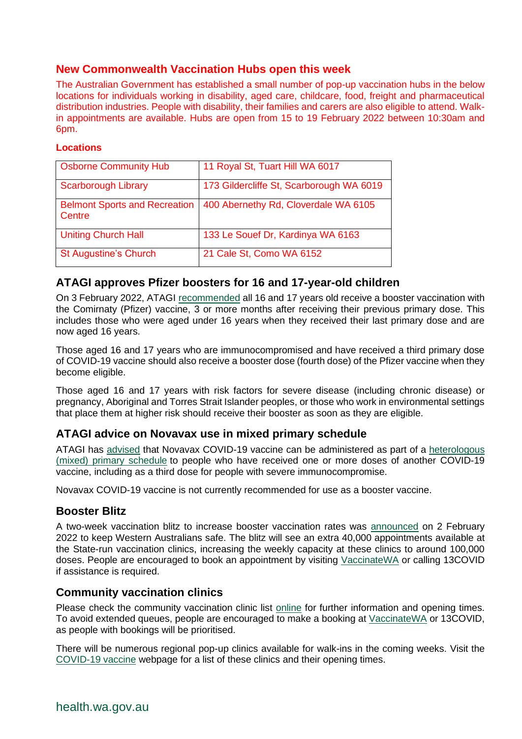# **New Commonwealth Vaccination Hubs open this week**

The Australian Government has established a small number of pop-up vaccination hubs in the below locations for individuals working in disability, aged care, childcare, food, freight and pharmaceutical distribution industries. People with disability, their families and carers are also eligible to attend. Walkin appointments are available. Hubs are open from 15 to 19 February 2022 between 10:30am and 6pm.

#### **Locations**

| <b>Osborne Community Hub</b>                   | 11 Royal St, Tuart Hill WA 6017          |
|------------------------------------------------|------------------------------------------|
| <b>Scarborough Library</b>                     | 173 Gildercliffe St, Scarborough WA 6019 |
| <b>Belmont Sports and Recreation</b><br>Centre | 400 Abernethy Rd, Cloverdale WA 6105     |
| <b>Uniting Church Hall</b>                     | 133 Le Souef Dr, Kardinya WA 6163        |
| <b>St Augustine's Church</b>                   | 21 Cale St, Como WA 6152                 |

# **ATAGI approves Pfizer boosters for 16 and 17-year-old children**

On 3 February 2022, ATAGI [recommended](https://urldefense.com/v3/__https:/health.us20.list-manage.com/track/click?u=32cc4a56e0e39b38a4d4cf223&id=2c76042a92&e=91efc1e34a__;!!Lav448XFWxY!p3UYpii4nX-qHTww8WbUZRt-IQ6yD24Ty1IHEpsmKjWV3Kk_wirIybuRTlLlwvavvP2GhTq1$) all 16 and 17 years old receive a booster vaccination with the Comirnaty (Pfizer) vaccine, 3 or more months after receiving their previous primary dose. This includes those who were aged under 16 years when they received their last primary dose and are now aged 16 years.

Those aged 16 and 17 years who are immunocompromised and have received a third primary dose of COVID-19 vaccine should also receive a booster dose (fourth dose) of the Pfizer vaccine when they become eligible.

Those aged 16 and 17 years with risk factors for severe disease (including chronic disease) or pregnancy, Aboriginal and Torres Strait Islander peoples, or those who work in environmental settings that place them at higher risk should receive their booster as soon as they are eligible.

# **ATAGI advice on Novavax use in mixed primary schedule**

ATAGI has [advised](https://www.health.gov.au/news/atagi-statement-on-the-use-of-novavax-covid-19-vaccine-nuvaxovid) that Novavax COVID-19 vaccine can be administered as part of a [heterologous](https://www.health.gov.au/resources/publications/covid-19-vaccination-clinical-advice-on-the-use-of-a-different-covid-19-vaccine-as-the-second-dose)  [\(mixed\) primary schedule](https://www.health.gov.au/resources/publications/covid-19-vaccination-clinical-advice-on-the-use-of-a-different-covid-19-vaccine-as-the-second-dose) to people who have received one or more doses of another COVID-19 vaccine, including as a third dose for people with severe immunocompromise.

Novavax COVID-19 vaccine is not currently recommended for use as a booster vaccine.

## **Booster Blitz**

A two-week vaccination blitz to increase booster vaccination rates was [announced](https://www.mediastatements.wa.gov.au/Pages/McGowan/2022/02/Third-dose-vaccination-blitz-to-keep-Western-Australians-safe.aspx) on 2 February 2022 to keep Western Australians safe. The blitz will see an extra 40,000 appointments available at the State-run vaccination clinics, increasing the weekly capacity at these clinics to around 100,000 doses. People are encouraged to book an appointment by visiting [VaccinateWA](https://vaccinatewa.health.wa.gov.au/s/login/?startURL=%2Fs%2F&ec=302) or calling 13COVID if assistance is required.

## **Community vaccination clinics**

Please check the community vaccination clinic list [online](https://www.healthywa.wa.gov.au/Articles/A_E/Coronavirus/COVID19-vaccine) for further information and opening times. To avoid extended queues, people are encouraged to make a booking at [VaccinateWA](https://vaccinatewa.health.wa.gov.au/s/login/?ec=302&startURL=%2Fs%2F) or 13COVID, as people with bookings will be prioritised.

There will be numerous regional pop-up clinics available for walk-ins in the coming weeks. Visit the [COVID-19 vaccine](https://www.healthywa.wa.gov.au/Articles/A_E/Coronavirus/COVID19-vaccine/Online-booking-FAQs) webpage for a list of these clinics and their opening times.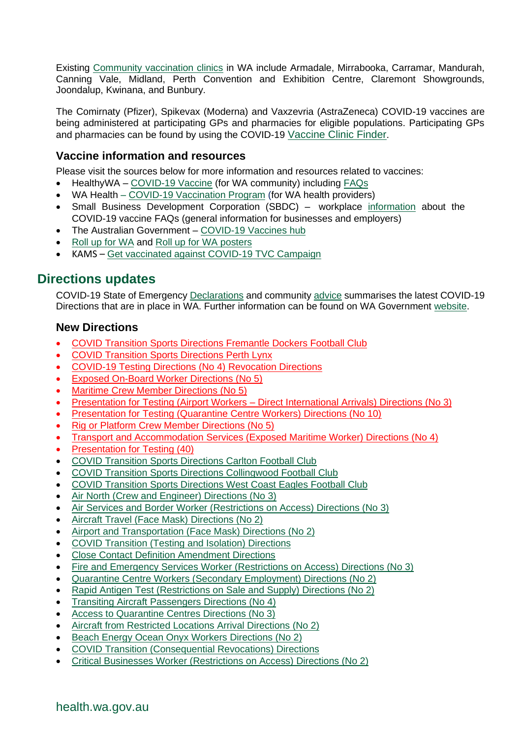Existing [Community vaccination clinics](https://www.healthywa.wa.gov.au/Articles/A_E/Coronavirus/COVID19-vaccine) in WA include Armadale, Mirrabooka, Carramar, Mandurah, Canning Vale, Midland, Perth Convention and Exhibition Centre, Claremont Showgrounds, Joondalup, Kwinana, and Bunbury.

The Comirnaty (Pfizer), Spikevax (Moderna) and Vaxzevria (AstraZeneca) COVID-19 vaccines are being administered at participating GPs and pharmacies for eligible populations. Participating GPs and pharmacies can be found by using the COVID-19 [Vaccine Clinic Finder](https://www.health.gov.au/resources/apps-and-tools/covid-19-vaccine-clinic-finder).

## **Vaccine information and resources**

Please visit the sources below for more information and resources related to vaccines:

- HealthyWA [COVID-19 Vaccine](https://ww2.health.wa.gov.au/sitecore/content/Healthy-WA/Articles/A_E/Coronavirus/COVID19-vaccine) (for WA community) including [FAQs](https://ww2.health.wa.gov.au/sitecore/content/Healthy-WA/Articles/A_E/Coronavirus/COVID19-vaccine/FAQs)
- WA Health [COVID-19 Vaccination Program](https://ww2.health.wa.gov.au/Articles/A_E/Coronavirus/COVID19-vaccination-program) (for WA health providers)
- Small Business Development Corporation (SBDC) workplace [information](https://www.smallbusiness.wa.gov.au/blog/faqs-workplace-information-about-covid-19-vaccine) about the COVID-19 vaccine FAQs (general information for businesses and employers)
- The Australian Government [COVID-19 Vaccines hub](https://www.health.gov.au/initiatives-and-programs/covid-19-vaccines)
- Roll [up for WA](https://rollup.wa.gov.au/) and Roll [up for WA posters](https://www.dlgsc.wa.gov.au/department/news/news-article/2021/06/09/roll-up-for-wa-posters)
- KAMS [Get vaccinated against COVID-19](https://kimberley-vaccines.multiscreensite.com/kams-2021-vaccine-campaign) TVC Campaign

# **Directions updates**

COVID-19 State of Emergency [Declarations](https://www.wa.gov.au/government/document-collections/covid-19-coronavirus-state-of-emergency-declarations) and community [advice](https://www.wa.gov.au/organisation/department-of-the-premier-and-cabinet/covid-19-coronavirus-community-advice) summarises the latest COVID-19 Directions that are in place in WA. Further information can be found on WA Government [website.](https://www.wa.gov.au/government/covid-19-coronavirus)

## **New Directions**

- [COVID Transition Sports Directions Fremantle Dockers Football Club](https://www.wa.gov.au/government/publications/covid-transition-sports-directions-fremantle-dockers-football-club)
- [COVID Transition Sports Directions Perth Lynx](https://www.wa.gov.au/government/publications/covid-transition-sports-directions-perth-lynx)
- [COVID-19 Testing Directions \(No 4\) Revocation Directions](https://www.wa.gov.au/government/publications/covid-19-testing-directions-no-4-revocation-directions)
- [Exposed On-Board Worker Directions \(No 5\)](https://www.wa.gov.au/government/publications/exposed-board-worker-directions-no-5)
- [Maritime Crew Member Directions \(No 5\)](https://www.wa.gov.au/government/publications/maritime-crew-member-directions-no-5)
- Presentation for Testing (Airport Workers [Direct International Arrivals\) Directions \(No 3\)](https://www.wa.gov.au/government/publications/presentation-testing-airport-workers-direct-international-arrivals-directions-no-3)
- [Presentation for Testing \(Quarantine Centre Workers\) Directions \(No 10\)](https://www.wa.gov.au/government/publications/presentation-testing-quarantine-centre-workers-directions-no-10)
- [Rig or Platform Crew Member Directions \(No 5\)](https://www.wa.gov.au/government/publications/rig-or-platform-crew-member-directions-no-5)
- [Transport and Accommodation Services \(Exposed Maritime Worker\) Directions \(No 4\)](https://www.wa.gov.au/government/publications/transport-and-accommodation-services-exposed-maritime-worker-directions-no-4)
- [Presentation for Testing \(40\)](https://www.wa.gov.au/government/publications/presentation-testing-40)
- [COVID Transition Sports Directions Carlton Football Club](https://www.wa.gov.au/government/publications/covid-transition-sports-directions-carlton-football-club)
- [COVID Transition Sports Directions Collingwood Football Club](https://www.wa.gov.au/government/publications/covid-transition-sports-directions-collingwood-football-club)
- [COVID Transition Sports Directions West Coast Eagles Football Club](https://www.wa.gov.au/government/publications/covid-transition-sports-directions-west-coast-eagles-football-club)
- [Air North \(Crew and Engineer\) Directions \(No 3\)](https://www.wa.gov.au/government/publications/air-north-crew-and-engineer-directions-no-3)
- [Air Services and Border Worker \(Restrictions on Access\) Directions \(No 3\)](https://www.wa.gov.au/government/publications/air-services-and-border-worker-restrictions-access-directions-no-3)
- [Aircraft Travel \(Face Mask\) Directions \(No 2\)](https://www.wa.gov.au/government/publications/aircraft-travel-face-mask-directions-no-2)
- [Airport and Transportation \(Face Mask\) Directions \(No 2\)](https://www.wa.gov.au/government/publications/airport-and-transportation-face-mask-directions-no-2)
- [COVID Transition \(Testing and Isolation\) Directions](https://www.wa.gov.au/government/publications/covid-transition-testing-and-isolation-directions)
- [Close Contact Definition Amendment Directions](https://www.wa.gov.au/government/publications/close-contact-definition-amendment-directions)
- [Fire and Emergency Services Worker \(Restrictions on Access\) Directions \(No 3\)](https://www.wa.gov.au/government/publications/fire-and-emergency-services-worker-restrictions-access-directions-no-3)
- [Quarantine Centre Workers \(Secondary Employment\) Directions \(No 2\)](https://www.wa.gov.au/government/publications/quarantine-centre-workers-secondary-employment-directions-no-2)
- [Rapid Antigen Test \(Restrictions on Sale and Supply\) Directions \(No 2\)](https://www.wa.gov.au/government/publications/rapid-antigen-test-restrictions-sale-and-supply-directions-no-2)
- [Transiting Aircraft Passengers Directions \(No 4\)](https://www.wa.gov.au/government/publications/transiting-aircraft-passengers-directions-no-4)
- [Access to Quarantine Centres Directions \(No 3\)](https://www.wa.gov.au/government/publications/access-quarantine-centres-directions-no-3)
- [Aircraft from Restricted Locations Arrival Directions \(No 2\)](https://www.wa.gov.au/government/publications/aircraft-restricted-locations-arrival-directions-no-2)
- [Beach Energy Ocean Onyx Workers Directions \(No 2\)](https://www.wa.gov.au/government/publications/beach-energy-ocean-onyx-workers-directions-no-2)
- [COVID Transition \(Consequential Revocations\) Directions](https://www.wa.gov.au/government/publications/covid-transition-consequential-revocations-directions)
- [Critical Businesses Worker \(Restrictions on Access\) Directions \(No 2\)](https://www.wa.gov.au/government/publications/critical-businesses-worker-restrictions-access-directions-no-2)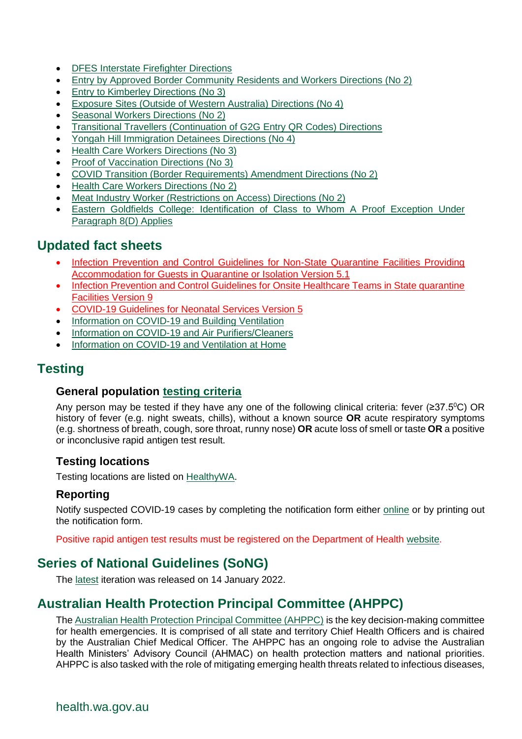- [DFES Interstate Firefighter Directions](https://www.wa.gov.au/government/publications/dfes-interstate-firefighter-directions)
- [Entry by Approved Border Community Residents and Workers Directions \(No 2\)](https://www.wa.gov.au/government/publications/entry-approved-border-community-residents-and-workers-directions-no-2)
- [Entry to Kimberley](https://www.wa.gov.au/government/publications/entry-kimberley-directions-no-3) Directions (No 3)
- [Exposure Sites \(Outside of Western Australia\) Directions \(No 4\)](https://www.wa.gov.au/government/publications/exposure-sites-outside-of-western-australia-directions-no-4)
- [Seasonal Workers Directions \(No 2\)](https://www.wa.gov.au/government/publications/seasonal-workers-directions-no-2)
- [Transitional Travellers \(Continuation of G2G Entry QR Codes\) Directions](https://www.wa.gov.au/government/publications/transitional-travellers-continuation-of-g2g-entry-qr-codes-directions)
- [Yongah Hill Immigration Detainees Directions \(No 4\)](https://www.wa.gov.au/government/publications/yongah-hill-immigration-detainees-directions-no-4)
- [Health Care Workers Directions \(No 3\)](https://www.wa.gov.au/government/publications/health-care-workers-directions-no-3)
- [Proof of Vaccination Directions \(No 3\)](https://www.wa.gov.au/government/publications/proof-of-vaccination-directions-no-3)
- [COVID Transition \(Border Requirements\) Amendment Directions \(No 2\)](https://www.wa.gov.au/government/publications/revoked-covid-transition-border-requirements-amendment-directions-no-2)
- [Health Care Workers Directions \(No 2\)](https://www.wa.gov.au/government/publications/revoked-health-care-workers-directions-no-2)
- [Meat Industry Worker \(Restrictions on Access\) Directions \(No 2\)](https://www.wa.gov.au/government/publications/meat-industry-worker-restrictions-access-directions-no-2)
- [Eastern Goldfields College: Identification of](https://www.wa.gov.au/government/publications/eastern-goldfields-college-identification-of-class-whom-proof-exception-under-paragraph-8d-applies) Class to Whom A Proof Exception Under [Paragraph 8\(D\) Applies](https://www.wa.gov.au/government/publications/eastern-goldfields-college-identification-of-class-whom-proof-exception-under-paragraph-8d-applies)

# **Updated fact sheets**

- Infection Prevention and Control Guidelines for Non-State Quarantine Facilities Providing [Accommodation for Guests in Quarantine or Isolation Version 5.1](https://ww2.health.wa.gov.au/~/media/Files/Corporate/general-documents/Infectious-diseases/PDF/Coronavirus/COVID19-Standard-for-non-State-quarantine-facilities-providing-accommodation.pdf)
- [Infection Prevention and Control Guidelines for Onsite Healthcare Teams in State quarantine](https://ww2.health.wa.gov.au/~/media/Corp/Documents/Health-for/Infectious-disease/COVID19/COVID19-Information-for-Clinical-Teams-Attending-Guests-quarantine-in-Hotels-and-Other-Accommodation.pdf)  [Facilities Version 9](https://ww2.health.wa.gov.au/~/media/Corp/Documents/Health-for/Infectious-disease/COVID19/COVID19-Information-for-Clinical-Teams-Attending-Guests-quarantine-in-Hotels-and-Other-Accommodation.pdf)
- [COVID-19 Guidelines for Neonatal Services Version 5](https://ww2.health.wa.gov.au/~/media/Files/Corporate/general-documents/Infectious-diseases/PDF/Coronavirus/COVID-19-Guidlines-for-Neonatal-Services.pdf)
- [Information on COVID-19 and Building Ventilation](https://ww2.health.wa.gov.au/~/media/Corp/Documents/Health-for/Infectious-disease/COVID19/COVID-19-ventilation-in-buildings.pdf)
- [Information on COVID-19 and Air Purifiers/Cleaners](https://ww2.health.wa.gov.au/~/media/Corp/Documents/Health-for/Infectious-disease/COVID19/COVID-19-and-air-purifiers-cleaners.pdf)
- [Information on COVID-19 and Ventilation at Home](https://ww2.health.wa.gov.au/~/media/Corp/Documents/Health-for/Infectious-disease/COVID19/COVID-19-ventilation-at-home.pdf)

# **Testing**

# **General population [testing criteria](https://www.healthywa.wa.gov.au/sitecore/content/Corporate/Articles/A_E/Coronavirus/COVID19-information-for-health-professionals)**

Any person may be tested if they have any one of the following clinical criteria: fever ( $\geq 37.5^{\circ}$ C) OR history of fever (e.g. night sweats, chills), without a known source **OR** acute respiratory symptoms (e.g. shortness of breath, cough, sore throat, runny nose) **OR** acute loss of smell or taste **OR** a positive or inconclusive rapid antigen test result.

## **Testing locations**

Testing locations are listed on [HealthyWA.](https://healthywa.wa.gov.au/Articles/A_E/COVID-clinics)

## **Reporting**

Notify suspected COVID-19 cases by completing the notification form either [online](https://cdcwa.health.wa.gov.au/surveys/?s=3PANDLMR84) or by printing out the notification form.

Positive rapid antigen test results must be registered on the Department of Health [website.](https://www.healthywa.wa.gov.au/Articles/A_E/Coronavirus/COVID19-testing/Rapid-Antigen-Test)

# **Series of National Guidelines (SoNG)**

The latest [iteration](https://www1.health.gov.au/internet/main/publishing.nsf/Content/cdna-song-novel-coronavirus.htm) was released on 14 January 2022.

# **Australian Health Protection Principal Committee (AHPPC)**

The [Australian Health Protection Principal Committee \(AHPPC\)](https://www.health.gov.au/committees-and-groups/australian-health-protection-principal-committee-ahppc) is the key decision-making committee for health emergencies. It is comprised of all state and territory Chief Health Officers and is chaired by the Australian Chief Medical Officer. The AHPPC has an ongoing role to advise the Australian Health Ministers' Advisory Council (AHMAC) on health protection matters and national priorities. AHPPC is also tasked with the role of mitigating emerging health threats related to infectious diseases,